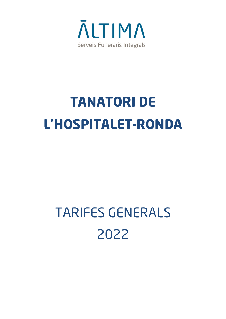

## **TANATORI DE L'HOSPITALET-RONDA**

## TARIFES GENERALS 2022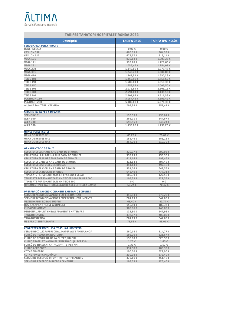## **NUTIMA** Serveis Funeraris Integrals

| <b>TARIFES TANATORI HOSPITALET-RONDA 2022</b>              |                        |                          |  |
|------------------------------------------------------------|------------------------|--------------------------|--|
| <b>Descripció</b>                                          | <b>TARIFA BASE</b>     | <b>TARIFA IVA INCLÒS</b> |  |
| <b>SERVEI CAIXA PER A ADULTS</b>                           |                        |                          |  |
| <b>BENEFICENCIA</b>                                        | $0,00 \in$             | $0,00 \in$               |  |
| <b>EPSILON 532</b><br><b>EPSILON 612</b>                   | 466,39€<br>673,67 €    | 564,33 €<br>815,14 €     |  |
| <b>VEGA 101</b>                                            | 829,13€                | 1.003,25 €               |  |
| <b>VEGA 111</b>                                            | 932,78€                | 1.128,66 €               |  |
| <b>VEGA 291</b>                                            | 1.036,42 €             | 1.254,07 €               |  |
| <b>VEGA 230</b>                                            | 1.140,06 €             | 1.379,47 €               |  |
| <b>VEGA 391</b>                                            | 1.243,70 €             | 1.504,88 €               |  |
| <b>VEGA 410</b>                                            | 1.347,34 €             | 1.630,28 €               |  |
| <b>TEIDE 101</b>                                           | 1.450,98 €             | 1.755,69 €               |  |
| <b>TEIDE 191</b>                                           | 1.502,81 €             | 1.818,39 €               |  |
| <b>TEIDE 150</b>                                           | 1.658,27 €             | 2.006,50 €               |  |
| <b>TEIDE 201</b>                                           | 2.072,84 €             | 2.508,13 €               |  |
| <b>TEIDE 301</b>                                           | 2.591,04 €             | 3.135,16 €               |  |
| <b>TEIDE 391</b>                                           | 2.901.97 €             | 3.511,38 €               |  |
| PLATINUM 110                                               | 3.057,43 €             | 3.699,49 €<br>6.270,33 € |  |
| <b>PLATINUM 200</b><br>AILLANT SANITARI I VALVULA          | 5.182,09 €<br>295,38 € | 357,41€                  |  |
|                                                            |                        |                          |  |
| <b>SERVEIS CAIXA PER A INFANTS</b>                         |                        |                          |  |
| <b>SERVEI Nº 21</b>                                        | 130,59€                | 158,01€                  |  |
| <b>ALFA 100</b>                                            | 285,01€                | 344,87 €                 |  |
| <b>ALFA 200</b>                                            | 698,55 €               | 845,24 €                 |  |
| <b>ALFA 300</b>                                            | 1.453,06 €             | 1.758,20 €               |  |
|                                                            |                        |                          |  |
| <b>URNES PER A RESTES</b>                                  |                        |                          |  |
| <b>URNA DE RESTES Nº 1</b>                                 | 65,29€                 | 79,01€                   |  |
| <b>URNA DE RESTES Nº 2</b>                                 | 155,46€                | 188,11€                  |  |
| <b>URNA DE RESTES Nº 3</b>                                 | 264,29€                | 319,79€                  |  |
| ORNAMENTACIÓ DE TAÜT                                       |                        |                          |  |
| <b>ESCULTURA LES MANS AMB BANY DE BRONZE</b>               | 329,77 €               | 399,02 €                 |  |
| ESCULTURA LA LLAGRIMA AMB BANY DE BRONZE                   | 359,75€                | 435,30 €                 |  |
| <b>ESCULTURA EL LLIBRE AMB BANY DE BRONZE</b>              | 411,14 €               | 497,48 €                 |  |
| <b>ESCULTURA L'ANGEL AMB BANY DE BRONZE</b>                | 411,14 €               | 497,48 €                 |  |
| <b>ESCULTURA LES FULLES DE BRONZE</b>                      | 411,14 €               | 497,48 €                 |  |
| ESCULTURA EL VIOLÍ AMB BANY DE BRONZE                      | 531.06 €               | 642,58 €                 |  |
| <b>ESCULTURA LA ROSA DE BRONZE</b>                         | 642,40 €               | 777,31 €                 |  |
| <b>TAPISSATS PERSONALITZATS EN EPSILONS I VEGAS</b>        | 105,39€                | 127,52 €                 |  |
| <b>TAPISSATS PERSONALITZATS EN TEIDES 100 I TEIDES 200</b> | 105,39€                | 127,52 €                 |  |
| <b>TAPISSATS PERSONALITZATS EN TEIDE 300</b>               | 0€                     | 0€                       |  |
| ORNAMENT PER TAÜT (ROSA, CLAU DE SOL I ESTRELLA DAVID)     | 58,24 €                | 70,47 €                  |  |
| PREPARACIÓ I ACONDICIONAMENT SANITARI DE DIFUNTS           |                        |                          |  |
| SERVEI D'ACONDICIONAMENT I ENFERETRAMENT                   | 310,93 €               | 376,22 €                 |  |
| SERVEI D'ACONDICIONAMENT I ENFERETRAMENT INFANTS           | 204,13 €               | 247,00 €                 |  |
| <b>VESTICIÓ AMB ROBA O SUDARI</b>                          | 68,40€                 | 82,77 €                  |  |
| <b>DESPLAÇAMENT METGE A DOMICILI</b>                       | 156,50€                | 189,37 €                 |  |
| <b>EMBALSAMAMENT</b>                                       | 365,86€                | 442,69 €                 |  |
| PERSONAL ADJUNT EMBALSAMAMENT I MATERIALS                  | 122,30 €               | 147,98€                  |  |
| <b>TANATOPLASTIA</b>                                       | 337,87 €               | 408,83 €                 |  |
| <b>TANATOESTETICA</b>                                      | 204,13 €               | 247,00 €                 |  |
| ÚS SALA D' EMBALSAMAR                                      | 78,52 €                | 95,01€                   |  |
| <b>CONCEPTES DE RECOLLIDA, TRASLLAT I RECEPCIÓ</b>         |                        |                          |  |
| SERVEI RECOLLIDA: PERSONAL, MATERIALS I AMBULÀNCIA         | 260.14€                | 314,77 €                 |  |
| <b>FURGÓ DE RECOLLIDA NOCTURNA</b>                         | 183,20€                | 221.67 €                 |  |
| FURGÓ DE RECOLLIDA DE LA CIUTAT JUDICIAL                   | 190,00 €               | 229,90€                  |  |
| FURGÓ TRASLLAT NACIONAL/ INTERNAC. (€ PER KM)              | 1,20€                  | 1,45€                    |  |
| FURGÓ DE TRASLLAT CATALUNYA (€ PER KM)                     | 1,30€                  | 1,57€                    |  |
| <b>FURGÓ AEROPORT</b>                                      | 334,98€                | 405,33 €                 |  |
| <b>COTXE FUNEBRE</b>                                       | 190,00 €               | 229,90 €                 |  |
| <b>COTXE FÚNEBRE PROVÍNCIA</b>                             | 230,08 €               | 278,40 €                 |  |
| SERVEI DE RECEPCIÓ DIFUNT T/P + COMPLEMENTS                | 373,11€                | 451,46€                  |  |
| SERVEI DE RECEPCIÓ DIRECTE A CEMENTIRI                     | 103.69€                | 125.46 €                 |  |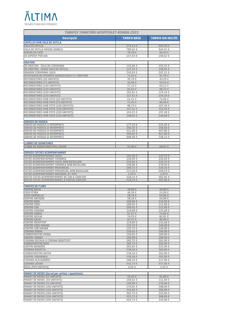## **NLTIMA** Serveis Funeraris Integrals

| <b>TARIFES TANATORI HOSPITALET-RONDA 2022</b>                                                |                      |                      |  |
|----------------------------------------------------------------------------------------------|----------------------|----------------------|--|
| <b>Descripció</b>                                                                            | <b>TARIFA BASE</b>   | TARIFA IVA INCLÒS    |  |
| <b>CAPELLES AMB SALA DE VETLLA</b>                                                           |                      |                      |  |
| <b>SALA DE VETLLA</b>                                                                        | 573,14 €             | 693,50€              |  |
| <b>SALA DE VETLLA MAGNA (DOBLE)</b><br><b>SERVEI DE CAFÉ</b>                                 | 780,42€<br>78,78€    | 944,31€<br>95,32 €   |  |
| ÚS DIPÒSIT PER DIA                                                                           | 157,53 €             | 190,62€              |  |
|                                                                                              |                      |                      |  |
| <b>ORATORI</b>                                                                               |                      |                      |  |
| ÚS ORATORI - SALA DE CERIMONIA<br>ÚS ORATORI - SENSE SALA DE VETLLA                          | 135,00 €<br>157,53 € | 163,35 €<br>190,62€  |  |
| <b>ORADOR CERIMONIA LAICA</b>                                                                | 245,63 €             | 297,21€              |  |
| UTILITZACIÓ DE MITIANTS AUDIOVISUALS A L'ORATORI                                             | 72,55 €              | 87,78 €              |  |
| <b>RECORDATORIS (50 UNITATS)</b>                                                             | 35,70 €              | 43,20€               |  |
| <b>RECORDATORIS (75 UNITATS)</b><br><b>RECORDATORIS (100 UNITATS)</b>                        | 45,90 €<br>57.13 €   | 55,54 €<br>69.12€    |  |
| <b>RECORDATORIS (150 UNITATS)</b>                                                            | 81,61€               | 98,75 €              |  |
| <b>RECORDATORIS (200 UNITATS)</b>                                                            | 102,01€              | 123,43 €             |  |
| <b>RECORDATORIS (250 UNITATS)</b>                                                            | 127,51€              | 154,29€              |  |
| <b>RECORDATORIS AMB FOTO (50 UNITATS)</b>                                                    | 61.21€               | 74,06 €              |  |
| RECORDATORIS AMB FOTO (75 UNITATS)<br>RECORDATORIS AMB FOTO (100 UNITATS)                    | 71,41€<br>88,75 €    | 86,40€<br>107,39€    |  |
| RECORDATORIS AMB FOTO (150 UNITATS)                                                          | 127,51 €             | 154,29€              |  |
| RECORDATORIS AMB FOTO (200 UNITATS)                                                          | 163,22 €             | 197,49€              |  |
| RECORDATORIS AMB FOTO (250 UNITATS)                                                          | 198,92 €             | 240,69€              |  |
| <b>SERVEIS DE MÚSICA</b>                                                                     |                      |                      |  |
| <b>SERVEI DE MÚSICA (1 INTERPRET)</b>                                                        | 177,23€              | 214,45€              |  |
| SERVEI DE MÚSICA (2 INTERPRET)                                                               | 296,42€              | 358,66 €             |  |
| SERVEI DE MÚSICA (3 INTERPRET)<br>SERVEI DE MÚSICA (4 INTERPRET)                             | 411.46 €<br>509,92 € | 497,86 €<br>617,00 € |  |
| SERVEI DE MÚSICA (5 INTERPRET)                                                               | 608,38€              | 736,14€              |  |
|                                                                                              |                      |                      |  |
| <b>LLIBRES DE SIGNATURES</b><br><b>LLIBRE DE SIGNATURES PELL COLOR</b>                       | 57,00 €              | 68,97€               |  |
|                                                                                              |                      |                      |  |
| <b>SERVEIS COTXES ACOMPANYAMENT</b>                                                          |                      |                      |  |
| <b>COTXE ACOMPANYAMENT LOCAL</b><br>COTXE ACOMPANYAMENT COMARCA                              | 101,44 €<br>116,56€  | 122,74 €<br>141,03 € |  |
| COTXE ACOMPANYAMENT LOCAL AMB RECOLLIDA                                                      | 125,81€              | 152,23 €             |  |
| COTXE ACOMPANYAMENT COMARCA AMB RECOLLIDA                                                    | 140,96€              | 170,56 €             |  |
| COTXE ACOMPANYAMENT PROVINCIAL<br>COTXE ACOMPANYAMENT PROVINCIAL AMB RECOLLIDA               | 188,72 €<br>213,38 € | 228,35 €<br>258,19€  |  |
| COTXE ACOMPANYAMENT NACIONAL (€ / KM)                                                        | $1.10 \in$           | $1.33 \in$           |  |
| DIETES COTXE ACOMPANYAMENT DE 100 A 1000 KM.<br>DIETES COTXE ACOMPANYAMENT A PARTIR 1000 KM. | 218,14€              | 263,95 €<br>497,06 € |  |
|                                                                                              | 410,79€              |                      |  |
| <b>TARIFES DE FLORS</b>                                                                      |                      |                      |  |
| <b>CENTRE NELIA</b><br><b>COIXI ÉFIRA</b>                                                    | 40,00 €              | 44,00 €              |  |
| <b>COIXI MARSELLA</b>                                                                        | 46,36€<br>58,18€     | 51,00 €<br>64,00 €   |  |
| <b>CENTRE ARCADIA</b>                                                                        | 58,18€               | 64,00 €              |  |
| <b>CENTRE BARI</b><br><b>CENTRE CREU</b>                                                     | 100,00 €<br>100.91€  | 110,00 €<br>111.00 € |  |
| <b>CENTRE COR</b>                                                                            | 100,91€              | 111,00 €             |  |
| <b>CENTRE VERONA</b>                                                                         | 119,09€              | 131,00 €             |  |
| <b>CENTRE VENUS</b><br><b>CENTRE SICILIA</b>                                                 | 67,27 €<br>74,55 €   | 74.00 €<br>82,01€    |  |
| <b>CENTRE GALIA</b>                                                                          | 87,27 €              | 96,00 €              |  |
| <b>CENTRE IDENTITAT</b>                                                                      | 119,09€              | 131,00 €             |  |
| <b>CENTRE CREU MAGNA</b><br><b>CENTRE COR MAGNA</b>                                          | 132,73 €<br>132,73 € | 146,00 €<br>146,00 € |  |
| <b>CORONA MENIA</b>                                                                          | 150,91€              | 166,00 €             |  |
| <b>COBREFERETRE MENIA</b><br><b>CENTRE RODAS</b>                                             | 150,91€<br>169,09€   | 166,00 €<br>186,00 € |  |
| CORONA DECALIA O CORONA IDENTITAT                                                            | 182.73 €             | 201,00 €             |  |
| <b>COBREFERETRE NIZA</b>                                                                     | 182,73 €             | 201,00 €             |  |
| <b>CENTRE BENARES</b><br><b>CORONA ROSETTA</b>                                               | 201,82 €<br>238,18€  | 222,00 €<br>262,00 € |  |
| <b>COBREFERETRE ANTEA</b>                                                                    | 238,18€              | 262,00 €             |  |
| <b>CENTRE PROVENCA</b>                                                                       | 238,18€              | 262,00 €             |  |
| <b>CORONA ALEXANDRIA</b>                                                                     | 288,18€              | 317,00 €             |  |
| <b>CORONA LUXOR</b>                                                                          | 342,73 €             | 377,00 €             |  |
| <b>ROSA (PER UNITATS)</b>                                                                    | 3,03€                | 3,33€                |  |
| <b>MANAT DE ROSES (Servei per unitats / quantitats)</b>                                      |                      |                      |  |
| <b>MANAT DE ROSES (25 UNITATS)</b>                                                           | 55,45 €              | 61,00 €              |  |
| <b>MANAT DE ROSES (50 UNITATS)</b>                                                           | 100,91€              | 111,00 €             |  |
| <b>MANAT DE ROSES (75 UNITATS)</b><br><b>MANAT DE ROSES (100 UNITATS)</b>                    | 160,00 €<br>170,91€  | 176,00 €<br>188,00 € |  |
| <b>MANAT DE ROSES (150 UNITATS)</b>                                                          | 241,82 €             | 266,00 €             |  |
| <b>MANAT DE ROSES (200 UNITATS)</b>                                                          | 302,73 €             | 333,00 €             |  |
| <b>MANAT DE ROSES (250 UNITATS)</b>                                                          | 352,73 €             | 388,00 €             |  |
| <b>MANAT DE ROSES (300 UNITATS)</b>                                                          | 402,73 €             | 443,00 €             |  |